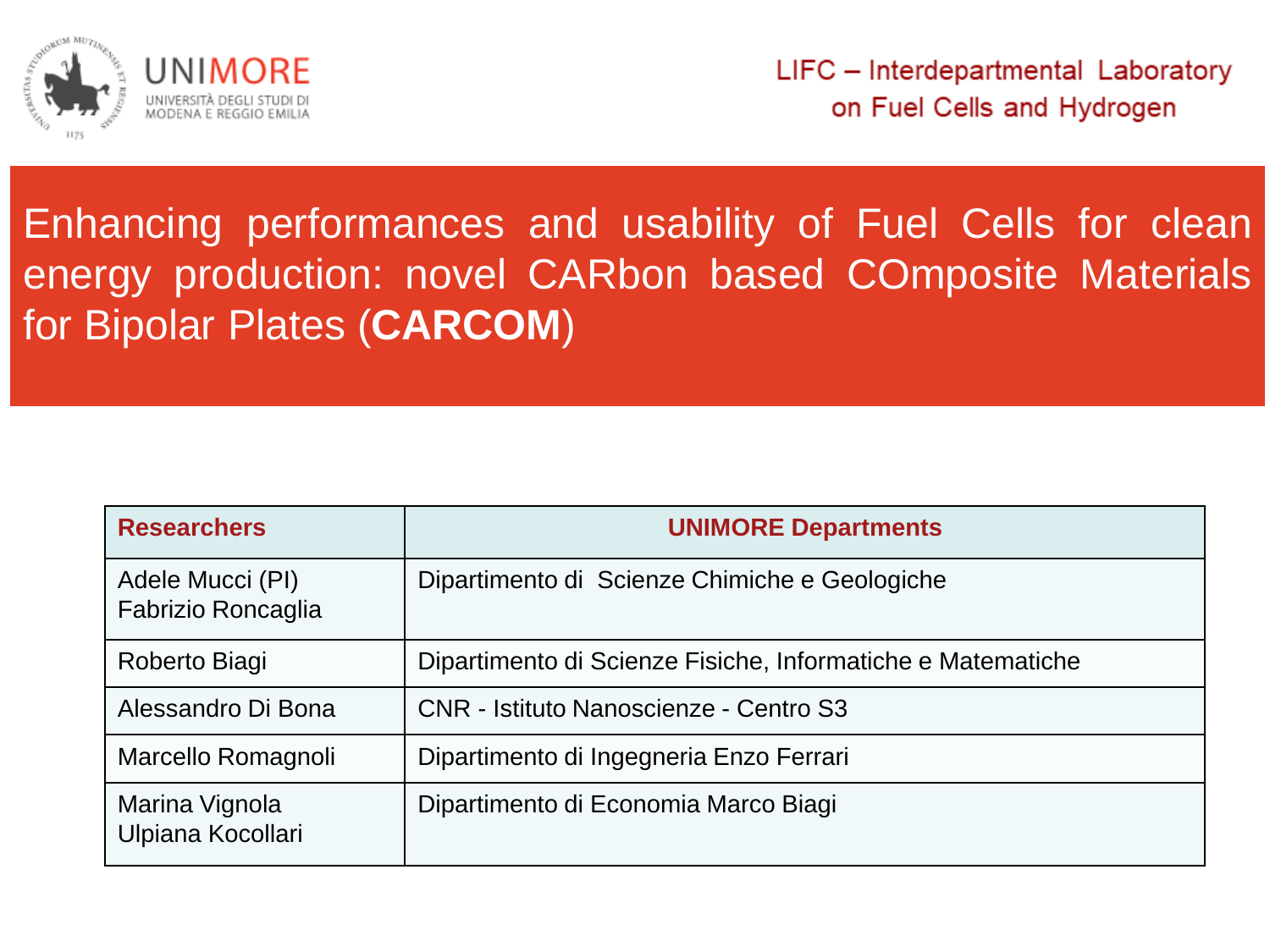

## Enhancing performances and usability of Fuel Cells for clean energy production: novel CARbon based COmposite Materials for Bipolar Plates (**CARCOM**)

| <b>Researchers</b>                     | <b>UNIMORE Departments</b>                                  |
|----------------------------------------|-------------------------------------------------------------|
| Adele Mucci (PI)<br>Fabrizio Roncaglia | Dipartimento di Scienze Chimiche e Geologiche               |
| Roberto Biagi                          | Dipartimento di Scienze Fisiche, Informatiche e Matematiche |
| Alessandro Di Bona                     | <b>CNR</b> - Istituto Nanoscienze - Centro S3               |
| Marcello Romagnoli                     | Dipartimento di Ingegneria Enzo Ferrari                     |
| Marina Vignola<br>Ulpiana Kocollari    | Dipartimento di Economia Marco Biagi                        |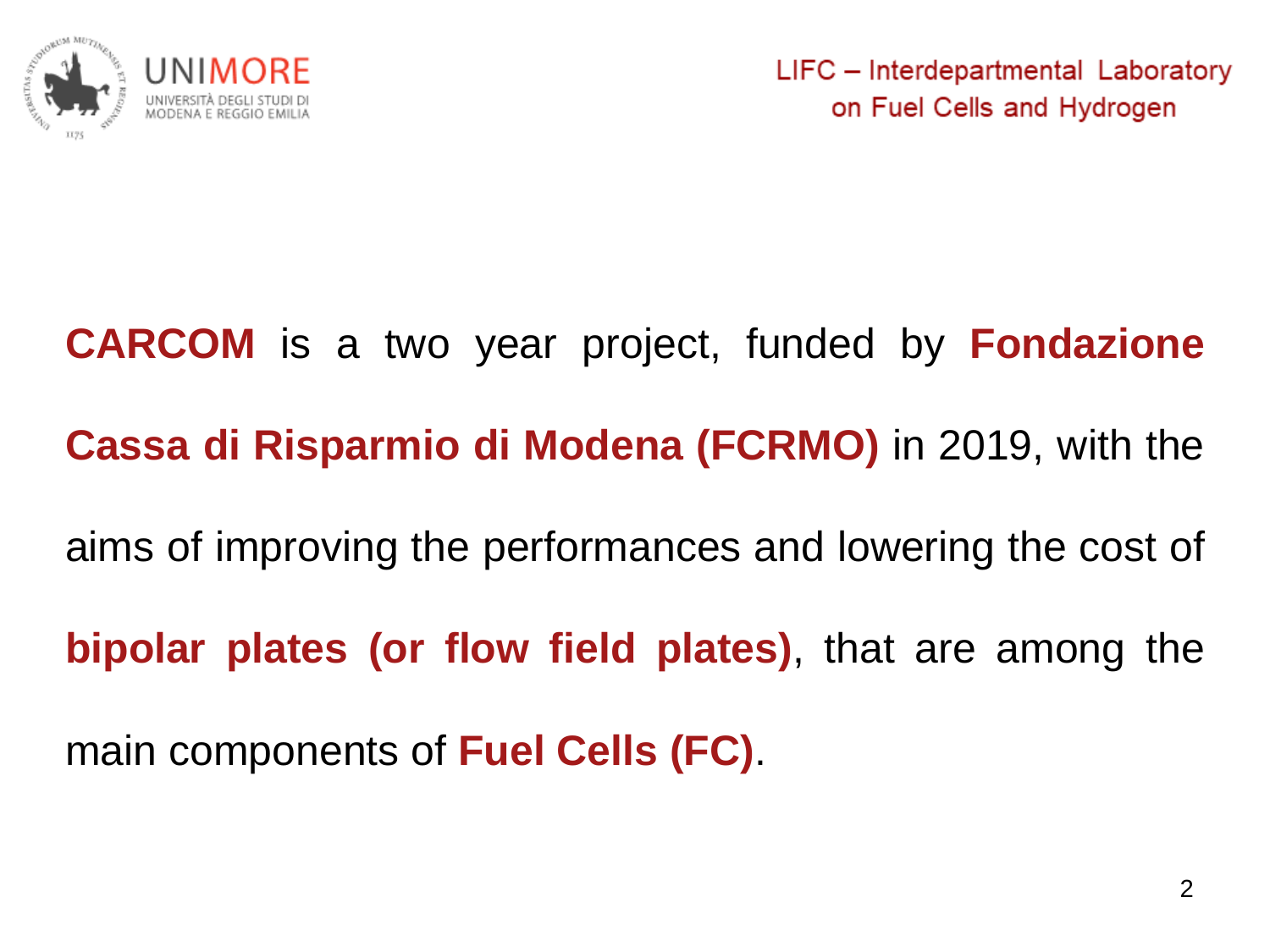

## **CARCOM** is a two year project, funded by **Fondazione Cassa di Risparmio di Modena (FCRMO)** in 2019, with the aims of improving the performances and lowering the cost of **bipolar plates (or flow field plates)**, that are among the main components of **Fuel Cells (FC)**.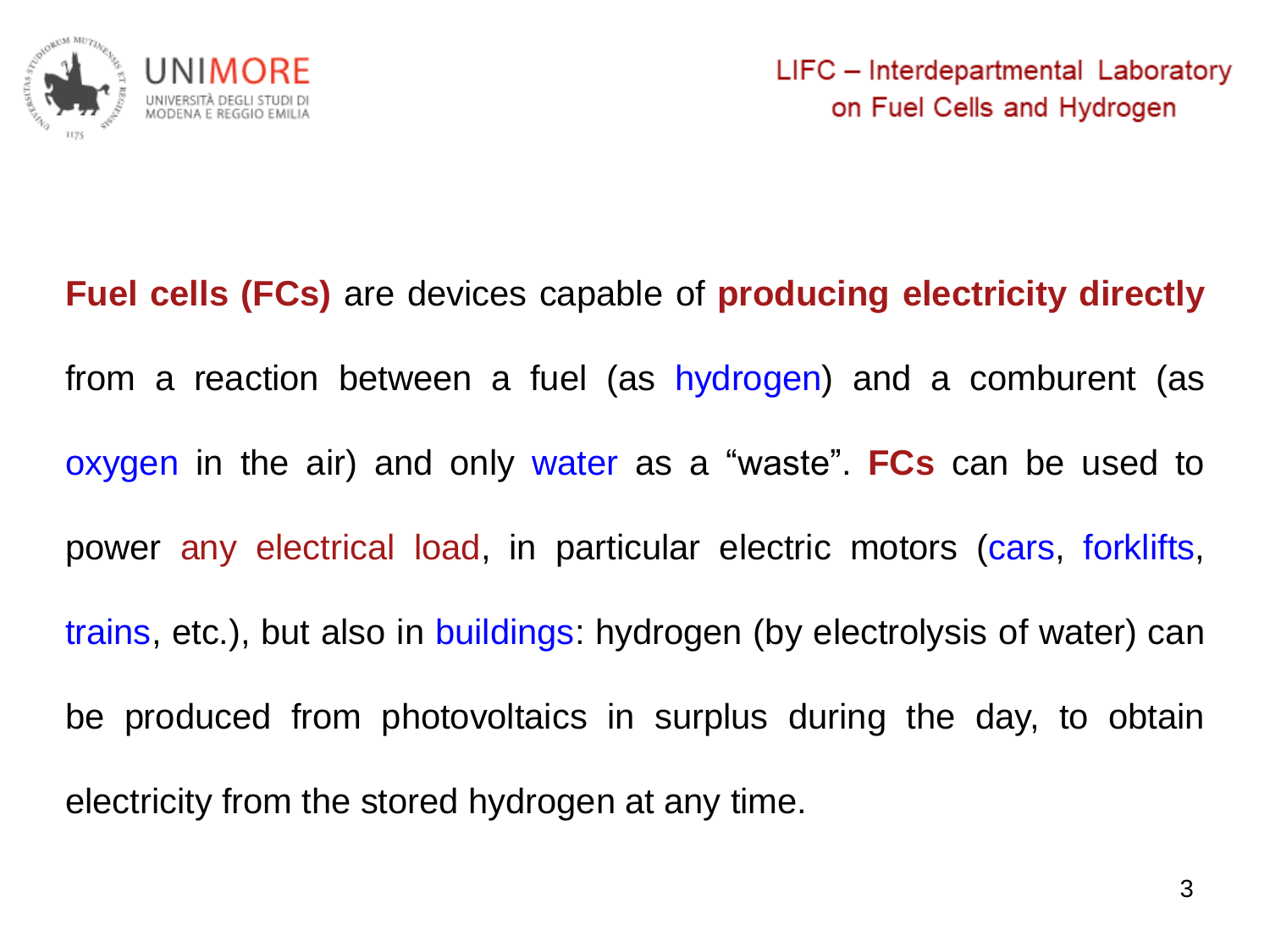

**Fuel cells (FCs)** are devices capable of **producing electricity directly** from a reaction between a fuel (as hydrogen) and a comburent (as oxygen in the air) and only water as a "waste". **FCs** can be used to power any electrical load, in particular electric motors (cars, forklifts, trains, etc.), but also in buildings: hydrogen (by electrolysis of water) can be produced from photovoltaics in surplus during the day, to obtain electricity from the stored hydrogen at any time.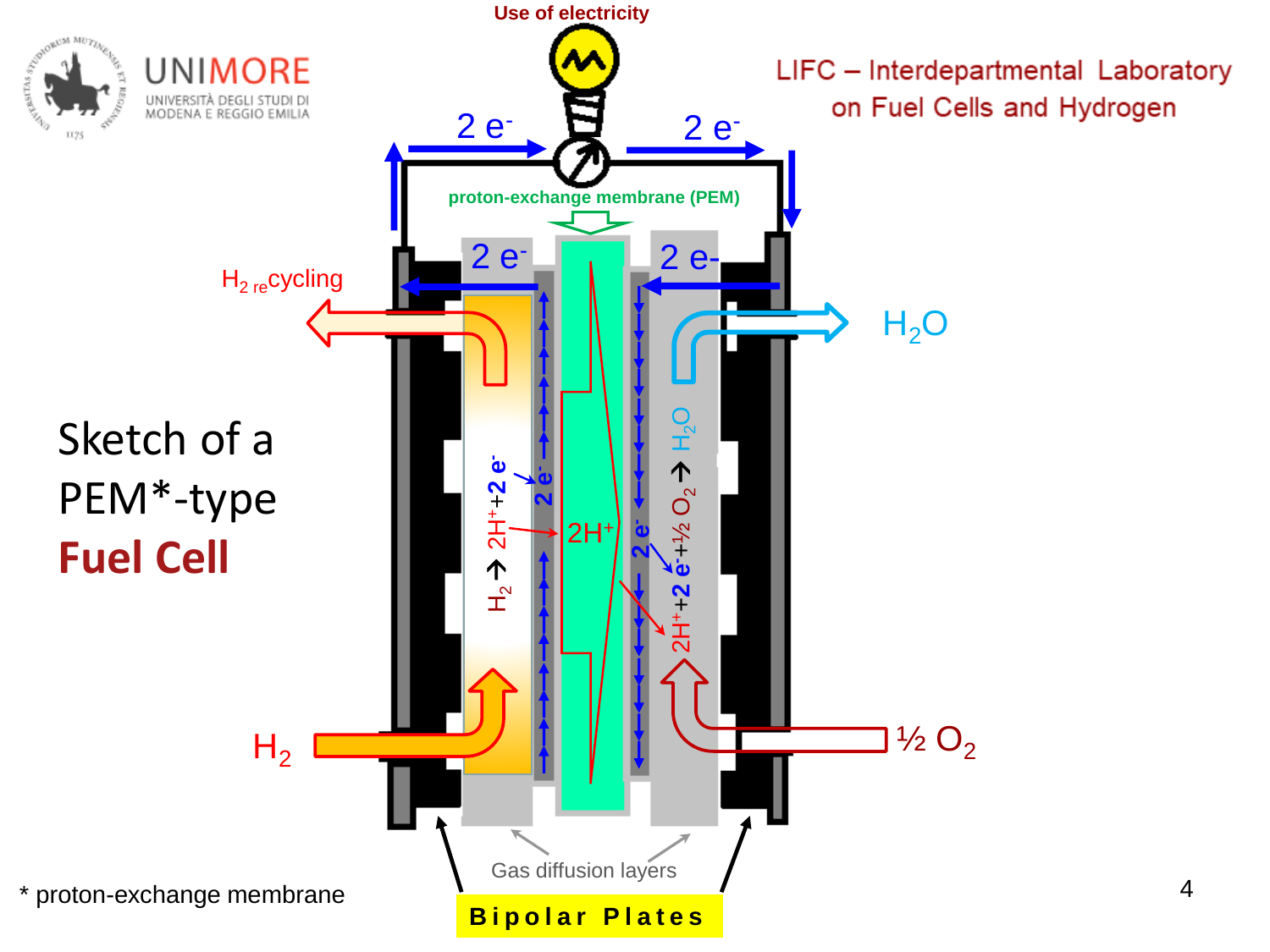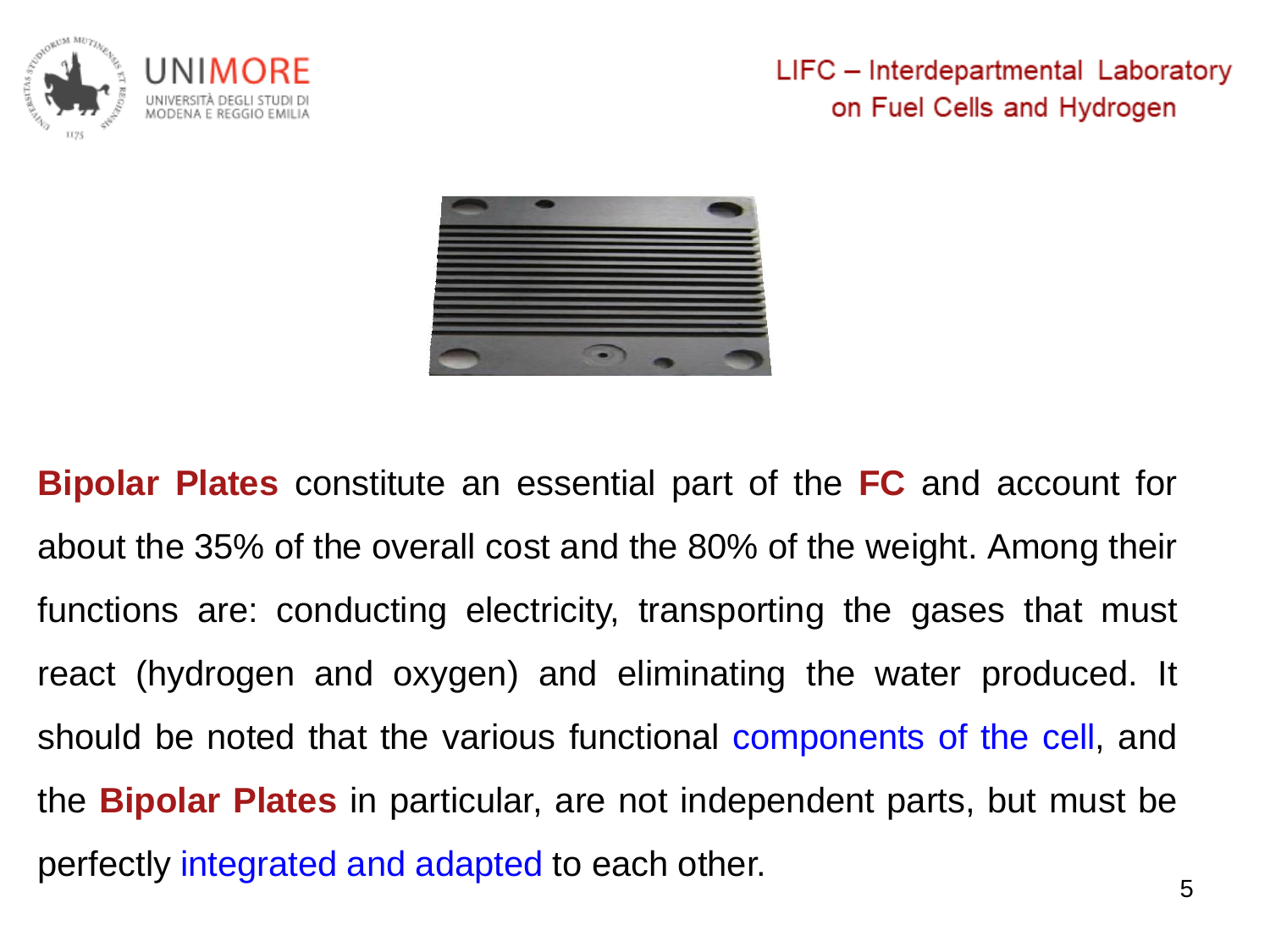

LIFC - Interdepartmental Laboratory on Fuel Cells and Hydrogen



**Bipolar Plates** constitute an essential part of the **FC** and account for about the 35% of the overall cost and the 80% of the weight. Among their functions are: conducting electricity, transporting the gases that must react (hydrogen and oxygen) and eliminating the water produced. It should be noted that the various functional components of the cell, and the **Bipolar Plates** in particular, are not independent parts, but must be perfectly integrated and adapted to each other.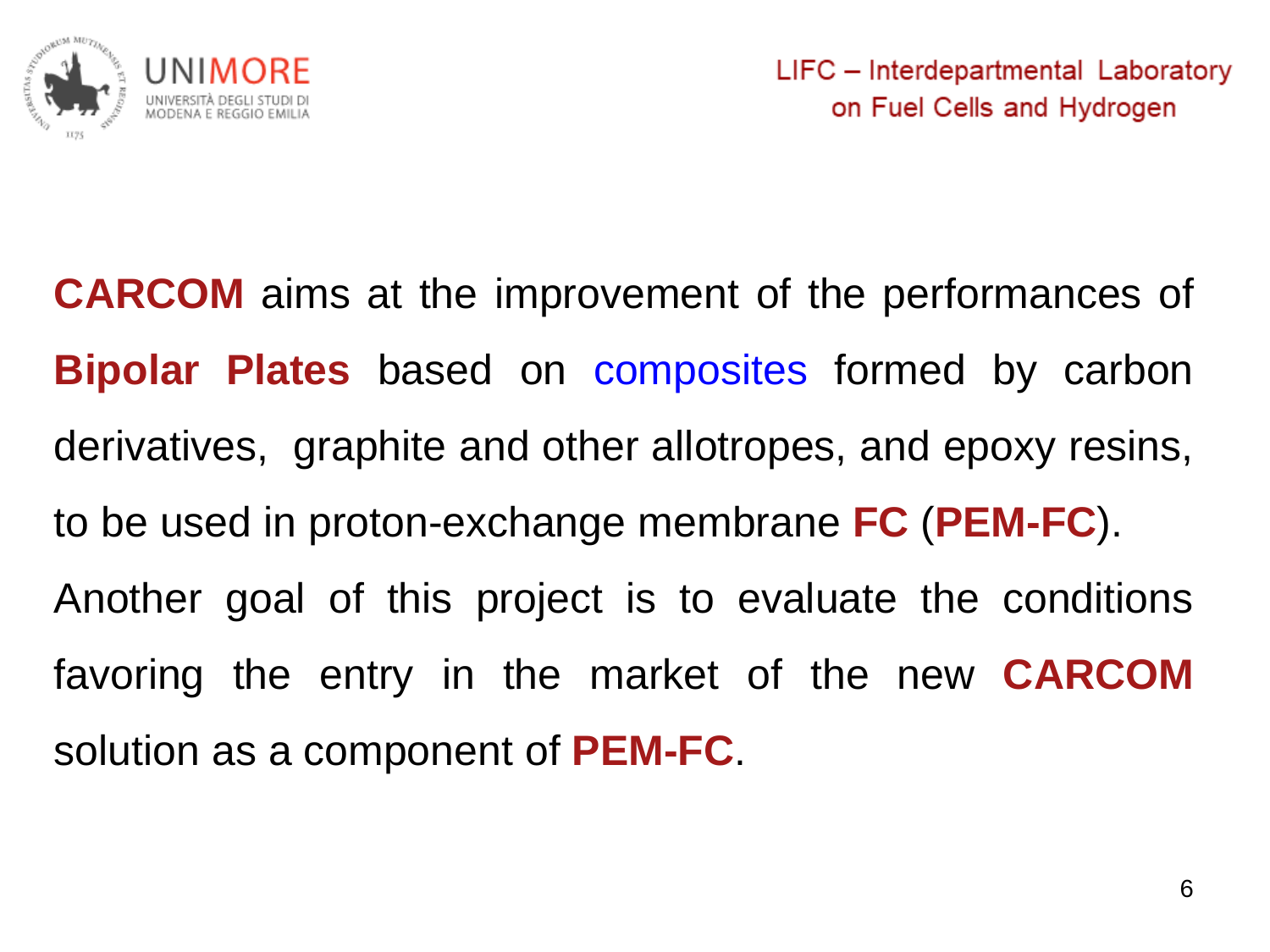

**CARCOM** aims at the improvement of the performances of **Bipolar Plates** based on composites formed by carbon derivatives, graphite and other allotropes, and epoxy resins, to be used in proton-exchange membrane **FC** (**PEM-FC**). Another goal of this project is to evaluate the conditions favoring the entry in the market of the new **CARCOM** solution as a component of **PEM-FC**.